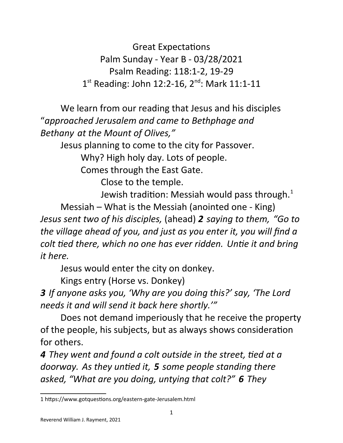Great Expectations Palm Sunday - Year B - 03/28/2021 Psalm Reading: 118:1-2, 19-29 1<sup>st</sup> Reading: John 12:2-16, 2<sup>nd</sup>: Mark 11:1-11

We learn from our reading that Jesus and his disciples "*approached Jerusalem and came to Bethphage and Bethany at the Mount of Olives,"*

Jesus planning to come to the city for Passover.

Why? High holy day. Lots of people.

Comes through the East Gate.

Close to the temple.

Jewish tradition: Messiah would pass through. $1$ 

Messiah – What is the Messiah (anointed one - King) *Jesus sent two of his disciples,* (ahead) *2 saying to them, "Go to the village ahead of you, and just as you enter it, you will find a colt tied there, which no one has ever ridden. Untie it and bring it here.*

Jesus would enter the city on donkey.

Kings entry (Horse vs. Donkey)

*3 If anyone asks you, 'Why are you doing this?' say, 'The Lord needs it and will send it back here shortly.'"*

Does not demand imperiously that he receive the property of the people, his subjects, but as always shows consideration for others.

*4 They went and found a colt outside in the street, tied at a doorway. As they untied it, 5 some people standing there asked, "What are you doing, untying that colt?" 6 They* 

<span id="page-0-0"></span><sup>1</sup> https://www.gotquestions.org/eastern-gate-Jerusalem.html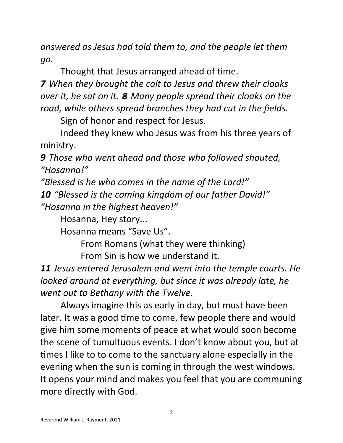*answered as Jesus had told them to, and the people let them go.*

Thought that Jesus arranged ahead of time.

*7 When they brought the colt to Jesus and threw their cloaks over it, he sat on it. 8 Many people spread their cloaks on the road, while others spread branches they had cut in the fields.*

Sign of honor and respect for Jesus.

Indeed they knew who Jesus was from his three years of ministry.

*9 Those who went ahead and those who followed shouted, "Hosanna!"*

*"Blessed is he who comes in the name of the Lord!" 10 "Blessed is the coming kingdom of our father David!" "Hosanna in the highest heaven!"*

Hosanna, Hey story...

Hosanna means "Save Us".

From Romans (what they were thinking)

From Sin is how we understand it.

*11 Jesus entered Jerusalem and went into the temple courts. He looked around at everything, but since it was already late, he went out to Bethany with the Twelve.*

Always imagine this as early in day, but must have been later. It was a good time to come, few people there and would give him some moments of peace at what would soon become the scene of tumultuous events. I don't know about you, but at times I like to to come to the sanctuary alone especially in the evening when the sun is coming in through the west windows. It opens your mind and makes you feel that you are communing more directly with God.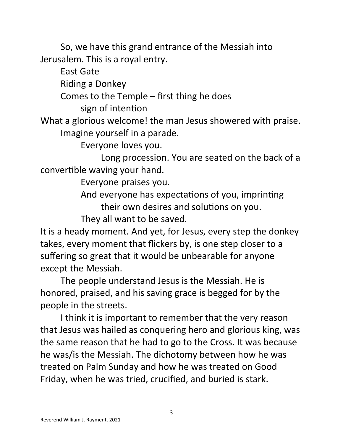So, we have this grand entrance of the Messiah into Jerusalem. This is a royal entry.

East Gate

Riding a Donkey

Comes to the Temple – first thing he does

sign of intention

What a glorious welcome! the man Jesus showered with praise. Imagine yourself in a parade.

Everyone loves you.

Long procession. You are seated on the back of a convertible waving your hand.

Everyone praises you.

And everyone has expectations of you, imprinting their own desires and solutions on you.

They all want to be saved.

It is a heady moment. And yet, for Jesus, every step the donkey takes, every moment that flickers by, is one step closer to a suffering so great that it would be unbearable for anyone except the Messiah.

The people understand Jesus is the Messiah. He is honored, praised, and his saving grace is begged for by the people in the streets.

I think it is important to remember that the very reason that Jesus was hailed as conquering hero and glorious king, was the same reason that he had to go to the Cross. It was because he was/is the Messiah. The dichotomy between how he was treated on Palm Sunday and how he was treated on Good Friday, when he was tried, crucified, and buried is stark.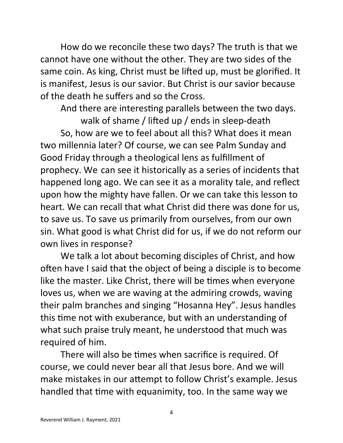How do we reconcile these two days? The truth is that we cannot have one without the other. They are two sides of the same coin. As king, Christ must be lifted up, must be glorified. It is manifest, Jesus is our savior. But Christ is our savior because of the death he suffers and so the Cross.

And there are interesting parallels between the two days.

walk of shame / lifted up / ends in sleep-death So, how are we to feel about all this? What does it mean two millennia later? Of course, we can see Palm Sunday and Good Friday through a theological lens as fulfillment of prophecy. We can see it historically as a series of incidents that happened long ago. We can see it as a morality tale, and reflect upon how the mighty have fallen. Or we can take this lesson to heart. We can recall that what Christ did there was done for us, to save us. To save us primarily from ourselves, from our own sin. What good is what Christ did for us, if we do not reform our own lives in response?

We talk a lot about becoming disciples of Christ, and how often have I said that the object of being a disciple is to become like the master. Like Christ, there will be times when everyone loves us, when we are waving at the admiring crowds, waving their palm branches and singing "Hosanna Hey". Jesus handles this time not with exuberance, but with an understanding of what such praise truly meant, he understood that much was required of him.

There will also be times when sacrifice is required. Of course, we could never bear all that Jesus bore. And we will make mistakes in our attempt to follow Christ's example. Jesus handled that time with equanimity, too. In the same way we